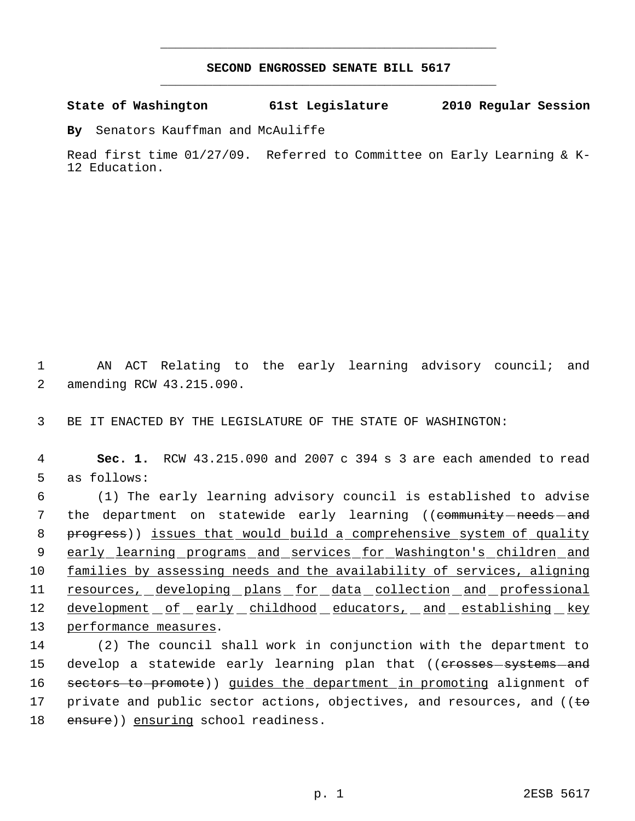## **SECOND ENGROSSED SENATE BILL 5617** \_\_\_\_\_\_\_\_\_\_\_\_\_\_\_\_\_\_\_\_\_\_\_\_\_\_\_\_\_\_\_\_\_\_\_\_\_\_\_\_\_\_\_\_\_

\_\_\_\_\_\_\_\_\_\_\_\_\_\_\_\_\_\_\_\_\_\_\_\_\_\_\_\_\_\_\_\_\_\_\_\_\_\_\_\_\_\_\_\_\_

**State of Washington 61st Legislature 2010 Regular Session**

**By** Senators Kauffman and McAuliffe

Read first time 01/27/09. Referred to Committee on Early Learning & K-12 Education.

 1 AN ACT Relating to the early learning advisory council; and 2 amending RCW 43.215.090.

3 BE IT ENACTED BY THE LEGISLATURE OF THE STATE OF WASHINGTON:

 4 **Sec. 1.** RCW 43.215.090 and 2007 c 394 s 3 are each amended to read 5 as follows:

 6 (1) The early learning advisory council is established to advise 7 the department on statewide early learning ((<del>community needs and</del> 8 progress)) issues that would build a comprehensive system of quality 9 early learning programs and services for Washington's children and 10 families by assessing needs and the availability of services, aligning 11 resources, developing plans for data collection and professional 12 development of early childhood educators, and establishing key 13 performance measures.

14 (2) The council shall work in conjunction with the department to 15 develop a statewide early learning plan that ((<del>crosses-systems-and</del> 16 sectors to promote)) guides the department in promoting alignment of 17 private and public sector actions, objectives, and resources, and ( $\epsilon$ 18 ensure)) ensuring school readiness.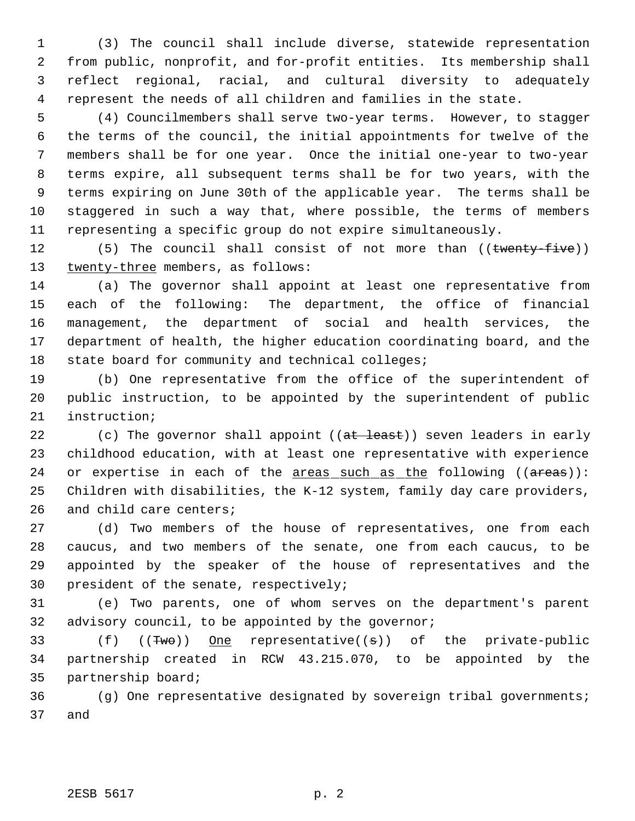(3) The council shall include diverse, statewide representation from public, nonprofit, and for-profit entities. Its membership shall reflect regional, racial, and cultural diversity to adequately represent the needs of all children and families in the state.

 (4) Councilmembers shall serve two-year terms. However, to stagger the terms of the council, the initial appointments for twelve of the members shall be for one year. Once the initial one-year to two-year terms expire, all subsequent terms shall be for two years, with the terms expiring on June 30th of the applicable year. The terms shall be staggered in such a way that, where possible, the terms of members representing a specific group do not expire simultaneously.

12 (5) The council shall consist of not more than ((twenty-five)) 13 twenty-three members, as follows:

 (a) The governor shall appoint at least one representative from each of the following: The department, the office of financial management, the department of social and health services, the department of health, the higher education coordinating board, and the state board for community and technical colleges;

 (b) One representative from the office of the superintendent of public instruction, to be appointed by the superintendent of public instruction;

22 (c) The governor shall appoint ((at least)) seven leaders in early childhood education, with at least one representative with experience 24 or expertise in each of the  $\frac{1}{2}$  areas such as the following (( $\frac{1}{2}$ ): Children with disabilities, the K-12 system, family day care providers, and child care centers;

 (d) Two members of the house of representatives, one from each caucus, and two members of the senate, one from each caucus, to be appointed by the speaker of the house of representatives and the president of the senate, respectively;

 (e) Two parents, one of whom serves on the department's parent advisory council, to be appointed by the governor;

33 (f) ((Two)) One representative((s)) of the private-public partnership created in RCW 43.215.070, to be appointed by the partnership board;

 (g) One representative designated by sovereign tribal governments; and